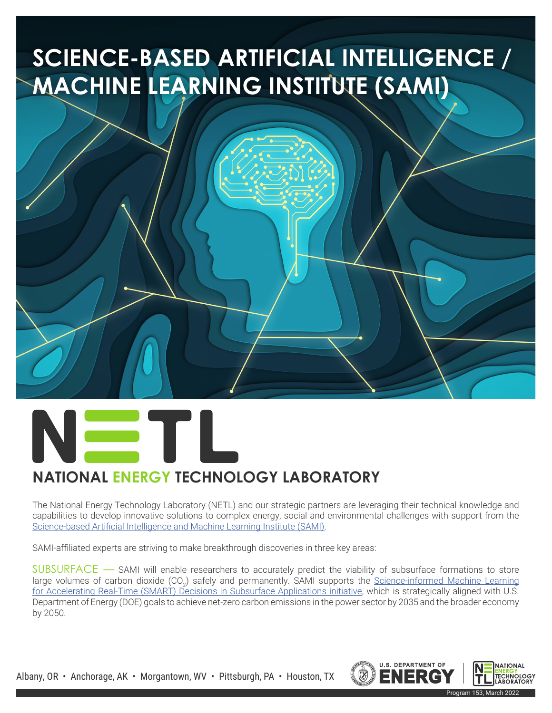# **SCIENCE-BASED ARTIFICIAL INTELLIGENCE / MACHINE LEARNING INSTITUTE (SAMI)**



## **NATIONAL ENERGY TECHNOLOGY LABORATORY**

The National Energy Technology Laboratory (NETL) and our strategic partners are leveraging their technical knowledge and capabilities to develop innovative solutions to complex energy, social and environmental challenges with support from the Science-based Artificial Intelligence and Machine Learning Institute (SAMI).

SAMI-affiliated experts are striving to make breakthrough discoveries in three key areas:

SUBSURFACE — SAMI will enable researchers to accurately predict the viability of subsurface formations to store large volumes of carbon dioxide (CO<sub>2</sub>) safely and permanently. SAMI supports the <u>Science-informed Machine Learning</u> for Accelerating Real-Time (SMART) Decisions in Subsurface Applications initiative, which is strategically aligned with U.S. Department of Energy (DOE) goals to achieve net-zero carbon emissions in the power sector by 2035 and the broader economy by 2050.

Albany, OR • Anchorage, AK • Morgantown, WV • Pittsburgh, PA • Houston, TX